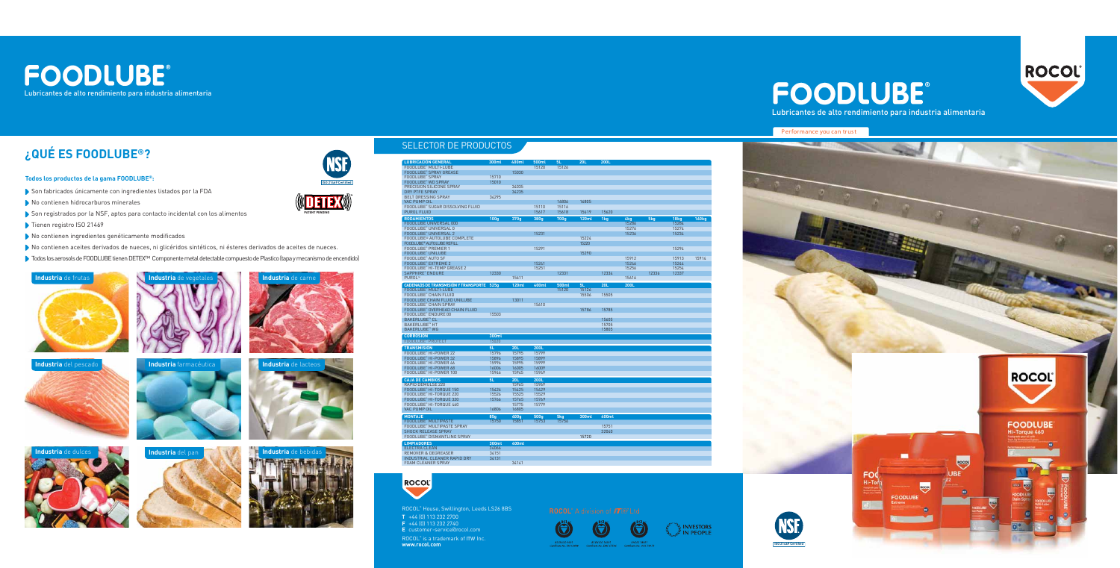#### **Todos los productos de la gama FOODLUBE®:**

- Son fabricados únicamente con ingredientes listados por la FDA
- No contienen hidrocarburos minerales
- Son registrados por la NSF, aptos para contacto incidental con los alimentos
- Tienen registro ISO 21469
- No contienen ingredientes genéticamente modificados
- No contienen aceites derivados de nueces, ni glicéridos sintéticos, ni ésteres derivados de aceites de nueces.
- Todos los aerosols de FOODLUBE tienen DETEX™ Componente metal detectable compuesto de Plastico (tapa y mecanismo de encendido)









### **¿QUÉ ES FOODLUBE®?**









# **NSF**



### SELECTOR DE PRODUCTOS

Lubricantes de alto rendimiento para industria alimentaria







INVESTORS IN PEOPLE



# **PATENT PENDING**

**ISO 21469 Certified** 

ROCOL® House, Swillington, Leeds LS26 8BS **T** +44 (0) 113 232 2700 **F** +44 (0) 113 232 2740 **E** customer-service@rocol.com

FOAM CLEANER SPRAY 34141

ROCOL® is a trademark of *ITW* Inc. **www.rocol.com**



# FOODLUBE®



| <b>LUBRICACIÓN GENERAL</b>                       | 300ml            | 400ml        | 500ml            | 5L    | 20L          | 200L  |       |       |                  |       |
|--------------------------------------------------|------------------|--------------|------------------|-------|--------------|-------|-------|-------|------------------|-------|
|                                                  |                  |              | 15120            | 15126 |              |       |       |       |                  |       |
| FOODLUBE® MULTI-LUBE                             |                  |              |                  |       |              |       |       |       |                  |       |
| <b>FOODLUBE® SPRAY GREASE</b>                    |                  | 15030        |                  |       |              |       |       |       |                  |       |
| <b>FOODLUBE® SPRAY</b>                           | 15710            |              |                  |       |              |       |       |       |                  |       |
| <b>FOODLUBE® WD SPRAY</b>                        | 15010            |              |                  |       |              |       |       |       |                  |       |
| PRECISION SILICONE SPRAY                         |                  | 34035        |                  |       |              |       |       |       |                  |       |
| <b>DRY PTFE SPRAY</b>                            |                  | 34235        |                  |       |              |       |       |       |                  |       |
| <b>BELT DRESSING SPRAY</b>                       | 34295            |              |                  |       |              |       |       |       |                  |       |
| <b>VAC PUMP OIL</b>                              |                  |              |                  | 16806 | 16805        |       |       |       |                  |       |
| <b>FOODLUBE® SUGAR DISSOLVING FLUID</b>          |                  |              | 15110            | 15116 |              |       |       |       |                  |       |
| <b>PUROL FLUID</b>                               |                  |              | 15617            | 15618 | 15619        | 15620 |       |       |                  |       |
|                                                  |                  |              |                  |       |              |       |       |       |                  |       |
| <b>RODAMIENTOS</b>                               | 100 <sub>g</sub> | 370g         | 380 <sub>g</sub> | 700g  | <b>120ml</b> | 1kg   | 4kg   | 5kg   | 18 <sub>kg</sub> | 160kg |
| <b>FOODLUBE UNIVERSAL 000</b>                    |                  |              |                  |       |              |       | 15286 |       | 15284            |       |
| FOODLUBE® UNIVERSAL 0                            |                  |              |                  |       |              |       | 15276 |       | 15274            |       |
| <b>FOODLUBE® UNIVERSAL 2</b>                     |                  |              | 15231            |       |              |       | 15236 |       | 15234            |       |
| FOODLUBE® AUTOLUBE COMPLETE                      |                  |              |                  |       | 15224        |       |       |       |                  |       |
| FOODLUBE <sup>®</sup> AUTOLUBE REFILL            |                  |              |                  |       | 15220        |       |       |       |                  |       |
|                                                  |                  |              |                  |       |              |       |       |       |                  |       |
| <b>FOODLUBE® PREMIER 1</b>                       |                  |              | 15291            |       |              |       |       |       | 15294            |       |
| <b>FOODLUBE® UNILUBE</b>                         |                  |              |                  |       | 15290        |       |       |       |                  |       |
| FOODLUBE® AUTO SF                                |                  |              |                  |       |              |       | 15912 |       | 15913            | 15914 |
| <b>FOODLUBE® EXTREME 2</b>                       |                  |              | 15241            |       |              |       | 15246 |       | 15244            |       |
| FOODLUBE® HI-TEMP GREASE 2                       |                  |              | 15251            |       |              |       | 15256 |       | 15254            |       |
| SAPPHIRE® ENDURE                                 | 12330            |              |                  | 12331 |              | 12334 |       | 12336 | 12337            |       |
| PUROL™                                           |                  | 15611        |                  |       |              |       | 15616 |       |                  |       |
|                                                  |                  |              |                  |       |              |       |       |       |                  |       |
| <b>CADENADS DE TRANSMISIÓN Y TRANSPORTE 525g</b> |                  | <b>120ml</b> | 400ml            | 500ml | 5L           | 20L   | 200L  |       |                  |       |
| FOODLUBE® MULTI-LUBE                             |                  |              |                  | 15120 | 15126        |       |       |       |                  |       |
| <b>FOODLUBE® CHAIN FLUID</b>                     |                  |              |                  |       | 15506        | 15505 |       |       |                  |       |
| <b>FOODLUBE CHAIN FLUID UNILUBE</b>              |                  | 13011        |                  |       |              |       |       |       |                  |       |
| <b>FOODLUBE® CHAIN SPRAY</b>                     |                  |              | 15610            |       |              |       |       |       |                  |       |
| FOODLUBE® OVERHEAD CHAIN FLUID                   |                  |              |                  |       | 15786        | 15785 |       |       |                  |       |
| FOODLUBE® ENDURE 00                              | 15503            |              |                  |       |              |       |       |       |                  |       |
| <b>BAKERLUBE™ CL</b>                             |                  |              |                  |       |              | 15605 |       |       |                  |       |
| <b>BAKERLUBE™ HT</b>                             |                  |              |                  |       |              | 15705 |       |       |                  |       |
| <b>BAKERLUBE™ WG</b>                             |                  |              |                  |       |              | 15805 |       |       |                  |       |
|                                                  |                  |              |                  |       |              |       |       |       |                  |       |
| <b>CORROSIÓN</b>                                 | 300ml            |              |                  |       |              |       |       |       |                  |       |
| FOODLUBE® PROTECT                                | 15020            |              |                  |       |              |       |       |       |                  |       |
| <b>TRANSMISIÓN</b>                               | 5L               | <b>20L</b>   | 200L             |       |              |       |       |       |                  |       |
|                                                  |                  |              |                  |       |              |       |       |       |                  |       |
| FOODLUBE® HI-POWER 22                            | 15796            | 15795        | 15799            |       |              |       |       |       |                  |       |
| FOODLUBE® HI-POWER 32                            | 15896            | 15895        | 15899            |       |              |       |       |       |                  |       |
| FOODLUBE® HI-POWER 46                            | 15996            | 15995        | 15999            |       |              |       |       |       |                  |       |
| FOODLUBE® HI-POWER 68                            | 16006            | 16005        | 16009            |       |              |       |       |       |                  |       |
| FOODLUBE® HI-POWER 100                           | 15946            | 15945        | 15949            |       |              |       |       |       |                  |       |
| <b>CAJA DE CAMBIOS</b>                           | 5L               | 20L          | 200L             |       |              |       |       |       |                  |       |
| RAPID DEMULSE 220                                |                  |              | 15969            |       |              |       |       |       |                  |       |
|                                                  |                  | 15965        |                  |       |              |       |       |       |                  |       |
| FOODLUBE® HI-TORQUE 150                          | 15426            | 15425        | 15429            |       |              |       |       |       |                  |       |
| FOODLUBE® HI-TORQUE 220                          | 15526            | 15525        | 15529            |       |              |       |       |       |                  |       |
| FOODLUBE® HI-TORQUE 320                          | 15766            | 15765        | 15769            |       |              |       |       |       |                  |       |
| FOODLUBE® HI-TORQUE 460                          |                  | 15775        | 15779            |       |              |       |       |       |                  |       |
| VAC PUMP OIL                                     | 16806            | 16805        |                  |       |              |       |       |       |                  |       |
| <b>MONTAJE</b>                                   | 85q              | 400q         | 500g             | 5kg   | 300ml        | 400ml |       |       |                  |       |
| <b>FOODLUBE® MULTIPASTE</b>                      | 15750            | 15851        | 15753            | 15756 |              |       |       |       |                  |       |
|                                                  |                  |              |                  |       |              |       |       |       |                  |       |
| FOODLUBE® MULTIPASTE SPRAY                       |                  |              |                  |       |              | 15751 |       |       |                  |       |
| <b>SHOCK RELEASE SPRAY</b>                       |                  |              |                  |       |              | 32040 |       |       |                  |       |
| <b>FOODLUBE® DISMANTLING SPRAY</b>               |                  |              |                  |       | 15720        |       |       |       |                  |       |
| <b>LIMPIADORES</b>                               | 300ml            | 400ml        |                  |       |              |       |       |       |                  |       |
| <b>ELECTRA CLEAN</b>                             | 34066            |              |                  |       |              |       |       |       |                  |       |
| <b>REMOVER &amp; DEGREASER</b>                   | 34151            |              |                  |       |              |       |       |       |                  |       |
|                                                  |                  |              |                  |       |              |       |       |       |                  |       |
| INDUSTRIAL CLEANER RAPID DRY                     | 34131            |              |                  |       |              |       |       |       |                  |       |



Performance you can trust